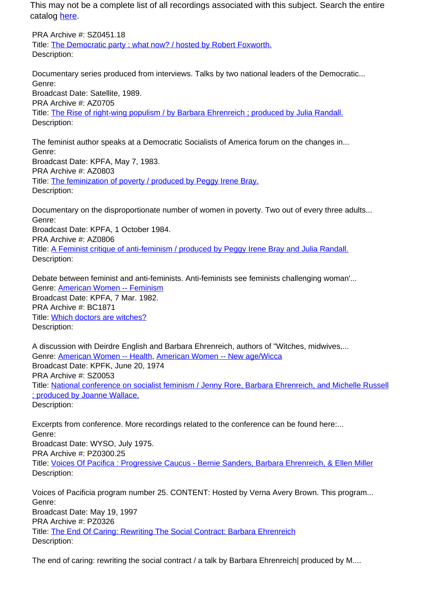This may not be a complete list of all recordings associated with this subject. Search the entire catalog [here.](http://pacificaradioarchives.org/keyword-search)

PRA Archive #: SZ0451.18 Title: The Democratic party : what now? / hosted by Robert Foxworth. Description:

Documentary series produced from interviews. Talks by two national leaders of the Democratic... Genre: Broadcast Date: Satellite, 1989. PRA Archive #: AZ0705 Title: The Rise of right-wing populism / by Barbara Ehrenreich ; produced by Julia Randall. Description:

The feminist author speaks at a Democratic Socialists of America forum on the changes in... Genre: Broadcast Date: KPFA, May 7, 1983. PRA Archive #: AZ0803 Title: The feminization of poverty / produced by Peggy Irene Bray. Description:

Documentary on the disproportionate number of women in poverty. Two out of every three adults... Genre:

Broadcast Date: KPFA, 1 October 1984.

PRA Archive #: AZ0806

Title: A Feminist critique of anti-feminism / produced by Peggy Irene Bray and Julia Randall. Description:

Debate between feminist and anti-feminists. Anti-feminists see feminists challenging woman'... Genre: American Women -- Feminism Broadcast Date: KPFA, 7 Mar. 1982. PRA Archive #: BC1871 Title: Which doctors are witches? Description:

A discussion with Deirdre English and Barbara Ehrenreich, authors of "Witches, midwives,... Genre: American Women -- Health, American Women -- New age/Wicca Broadcast Date: KPFK, June 20, 1974 PRA Archive #: SZ0053 Title: National conference on socialist feminism / Jenny Rore, Barbara Ehrenreich, and Michelle Russell ; produced by Joanne Wallace. Description:

Excerpts from conference. More recordings related to the conference can be found here:... Genre: Broadcast Date: WYSO, July 1975. PRA Archive #: PZ0300.25 Title: Voices Of Pacifica : Progressive Caucus - Bernie Sanders, Barbara Ehrenreich, & Ellen Miller Description:

Voices of Pacificia program number 25. CONTENT: Hosted by Verna Avery Brown. This program... Genre: Broadcast Date: May 19, 1997 PRA Archive #: PZ0326 Title: The End Of Caring: Rewriting The Social Contract: Barbara Ehrenreich Description:

The end of caring: rewriting the social contract / a talk by Barbara Ehrenreich| produced by M....